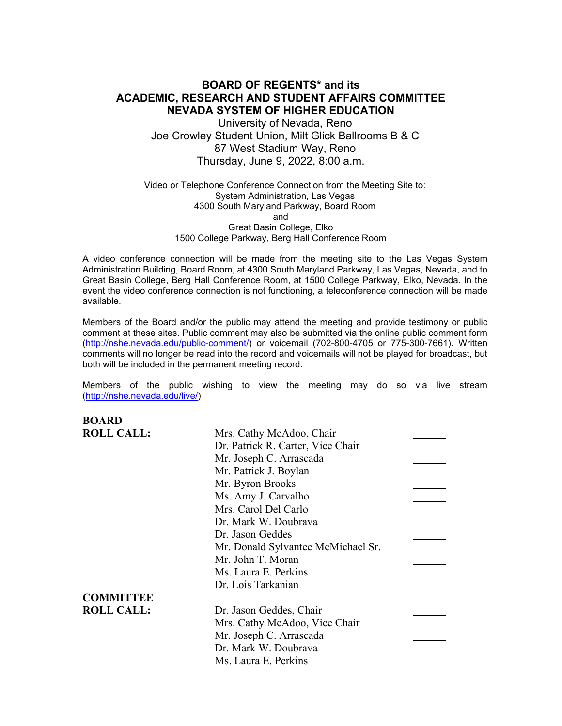## **BOARD OF REGENTS\* and its ACADEMIC, RESEARCH AND STUDENT AFFAIRS COMMITTEE NEVADA SYSTEM OF HIGHER EDUCATION**

University of Nevada, Reno Joe Crowley Student Union, Milt Glick Ballrooms B & C 87 West Stadium Way, Reno Thursday, June 9, 2022, 8:00 a.m.

### Video or Telephone Conference Connection from the Meeting Site to: System Administration, Las Vegas 4300 South Maryland Parkway, Board Room and Great Basin College, Elko 1500 College Parkway, Berg Hall Conference Room

A video conference connection will be made from the meeting site to the Las Vegas System Administration Building, Board Room, at 4300 South Maryland Parkway, Las Vegas, Nevada, and to Great Basin College, Berg Hall Conference Room, at 1500 College Parkway, Elko, Nevada. In the event the video conference connection is not functioning, a teleconference connection will be made available.

Members of the Board and/or the public may attend the meeting and provide testimony or public comment at these sites. Public comment may also be submitted via the online public comment form [\(http://nshe.nevada.edu/public-comment/\)](http://nshe.nevada.edu/public-comment/) or voicemail (702-800-4705 or 775-300-7661). Written comments will no longer be read into the record and voicemails will not be played for broadcast, but both will be included in the permanent meeting record.

Members of the public wishing to view the meeting may do so via live stream [\(http://nshe.nevada.edu/live/\)](http://nshe.nevada.edu/live/)

**BOARD**

| DVANIJ            |                                    |  |
|-------------------|------------------------------------|--|
| <b>ROLL CALL:</b> | Mrs. Cathy McAdoo, Chair           |  |
|                   | Dr. Patrick R. Carter, Vice Chair  |  |
|                   | Mr. Joseph C. Arrascada            |  |
|                   | Mr. Patrick J. Boylan              |  |
|                   | Mr. Byron Brooks                   |  |
|                   | Ms. Amy J. Carvalho                |  |
|                   | Mrs. Carol Del Carlo               |  |
|                   | Dr. Mark W. Doubrava               |  |
|                   | Dr. Jason Geddes                   |  |
|                   | Mr. Donald Sylvantee McMichael Sr. |  |
|                   | Mr. John T. Moran                  |  |
|                   | Ms. Laura E. Perkins               |  |
|                   | Dr. Lois Tarkanian                 |  |
| <b>COMMITTEE</b>  |                                    |  |
| <b>ROLL CALL:</b> | Dr. Jason Geddes, Chair            |  |
|                   | Mrs. Cathy McAdoo, Vice Chair      |  |
|                   | Mr. Joseph C. Arrascada            |  |
|                   | Dr. Mark W. Doubrava               |  |
|                   | Ms. Laura E. Perkins               |  |
|                   |                                    |  |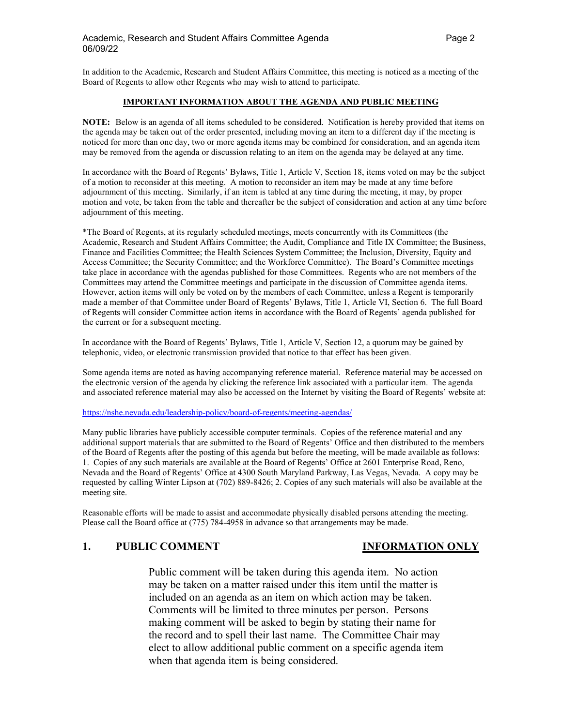In addition to the Academic, Research and Student Affairs Committee, this meeting is noticed as a meeting of the Board of Regents to allow other Regents who may wish to attend to participate.

### **IMPORTANT INFORMATION ABOUT THE AGENDA AND PUBLIC MEETING**

**NOTE:** Below is an agenda of all items scheduled to be considered. Notification is hereby provided that items on the agenda may be taken out of the order presented, including moving an item to a different day if the meeting is noticed for more than one day, two or more agenda items may be combined for consideration, and an agenda item may be removed from the agenda or discussion relating to an item on the agenda may be delayed at any time.

In accordance with the Board of Regents' Bylaws, Title 1, Article V, Section 18, items voted on may be the subject of a motion to reconsider at this meeting. A motion to reconsider an item may be made at any time before adjournment of this meeting. Similarly, if an item is tabled at any time during the meeting, it may, by proper motion and vote, be taken from the table and thereafter be the subject of consideration and action at any time before adjournment of this meeting.

\*The Board of Regents, at its regularly scheduled meetings, meets concurrently with its Committees (the Academic, Research and Student Affairs Committee; the Audit, Compliance and Title IX Committee; the Business, Finance and Facilities Committee; the Health Sciences System Committee; the Inclusion, Diversity, Equity and Access Committee; the Security Committee; and the Workforce Committee). The Board's Committee meetings take place in accordance with the agendas published for those Committees. Regents who are not members of the Committees may attend the Committee meetings and participate in the discussion of Committee agenda items. However, action items will only be voted on by the members of each Committee, unless a Regent is temporarily made a member of that Committee under Board of Regents' Bylaws, Title 1, Article VI, Section 6. The full Board of Regents will consider Committee action items in accordance with the Board of Regents' agenda published for the current or for a subsequent meeting.

In accordance with the Board of Regents' Bylaws, Title 1, Article V, Section 12, a quorum may be gained by telephonic, video, or electronic transmission provided that notice to that effect has been given.

Some agenda items are noted as having accompanying reference material. Reference material may be accessed on the electronic version of the agenda by clicking the reference link associated with a particular item. The agenda and associated reference material may also be accessed on the Internet by visiting the Board of Regents' website at:

<https://nshe.nevada.edu/leadership-policy/board-of-regents/meeting-agendas/>

Many public libraries have publicly accessible computer terminals. Copies of the reference material and any additional support materials that are submitted to the Board of Regents' Office and then distributed to the members of the Board of Regents after the posting of this agenda but before the meeting, will be made available as follows: 1. Copies of any such materials are available at the Board of Regents' Office at 2601 Enterprise Road, Reno, Nevada and the Board of Regents' Office at 4300 South Maryland Parkway, Las Vegas, Nevada. A copy may be requested by calling Winter Lipson at (702) 889-8426; 2. Copies of any such materials will also be available at the meeting site.

Reasonable efforts will be made to assist and accommodate physically disabled persons attending the meeting. Please call the Board office at (775) 784-4958 in advance so that arrangements may be made.

## **1. PUBLIC COMMENT INFORMATION ONLY**

Public comment will be taken during this agenda item. No action may be taken on a matter raised under this item until the matter is included on an agenda as an item on which action may be taken. Comments will be limited to three minutes per person. Persons making comment will be asked to begin by stating their name for the record and to spell their last name. The Committee Chair may elect to allow additional public comment on a specific agenda item when that agenda item is being considered.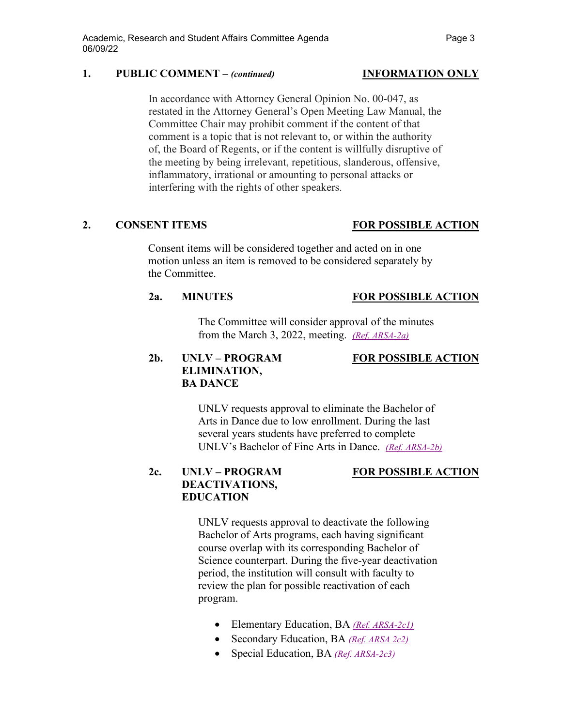## **1. PUBLIC COMMENT –** *(continued)* **INFORMATION ONLY**

In accordance with Attorney General Opinion No. 00-047, as restated in the Attorney General's Open Meeting Law Manual, the Committee Chair may prohibit comment if the content of that comment is a topic that is not relevant to, or within the authority of, the Board of Regents, or if the content is willfully disruptive of the meeting by being irrelevant, repetitious, slanderous, offensive, inflammatory, irrational or amounting to personal attacks or interfering with the rights of other speakers.

### **2. CONSENT ITEMS FOR POSSIBLE ACTION**

Consent items will be considered together and acted on in one motion unless an item is removed to be considered separately by the Committee.

### **2a. MINUTES FOR POSSIBLE ACTION**

The Committee will consider approval of the minutes from the March 3, 2022, meeting. *[\(Ref. ARSA-2a\)](https://nshe.nevada.edu/wp-content/uploads/file/BoardOfRegents/Agendas/2022/06-jun-mtgs/arsa-refs/ARSA-2a.pdf)*

# **2b. UNLV – PROGRAM FOR POSSIBLE ACTION ELIMINATION, BA DANCE**

UNLV requests approval to eliminate the Bachelor of Arts in Dance due to low enrollment. During the last several years students have preferred to complete UNLV's Bachelor of Fine Arts in Dance. *[\(Ref. ARSA-2b\)](https://nshe.nevada.edu/wp-content/uploads/file/BoardOfRegents/Agendas/2022/06-jun-mtgs/arsa-refs/ARSA-2b.pdf)*

## **2c. UNLV – PROGRAM FOR POSSIBLE ACTION DEACTIVATIONS, EDUCATION**

UNLV requests approval to deactivate the following Bachelor of Arts programs, each having significant course overlap with its corresponding Bachelor of Science counterpart. During the five-year deactivation period, the institution will consult with faculty to review the plan for possible reactivation of each program.

- Elementary Education, BA *[\(Ref. ARSA-2c1\)](https://nshe.nevada.edu/wp-content/uploads/file/BoardOfRegents/Agendas/2022/06-jun-mtgs/arsa-refs/ARSA-2c1.pdf)*
- Secondary Education, BA *[\(Ref. ARSA 2c2\)](https://nshe.nevada.edu/wp-content/uploads/file/BoardOfRegents/Agendas/2022/06-jun-mtgs/arsa-refs/ARSA-2c2.pdf)*
- Special Education, BA *[\(Ref. ARSA-2c3\)](https://nshe.nevada.edu/wp-content/uploads/file/BoardOfRegents/Agendas/2022/06-jun-mtgs/arsa-refs/ARSA-2c3.pdf)*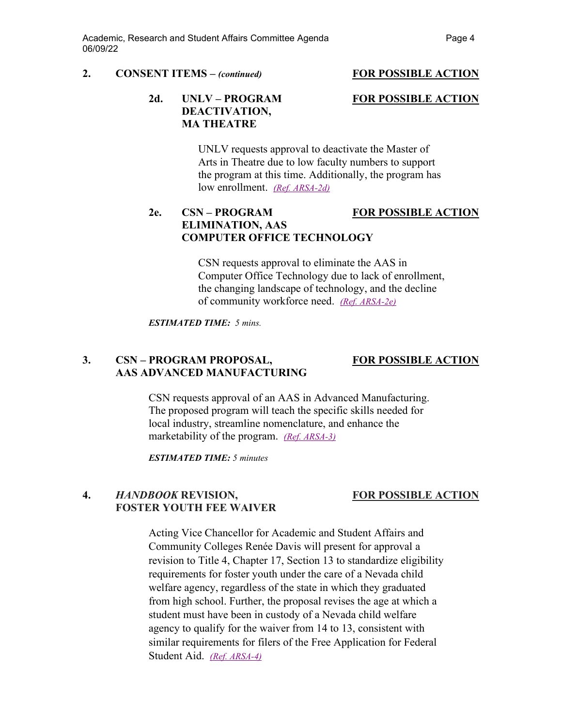### **2. CONSENT ITEMS –** *(continued)* **FOR POSSIBLE ACTION**

## **2d. UNLV – PROGRAM FOR POSSIBLE ACTION DEACTIVATION, MA THEATRE**

UNLV requests approval to deactivate the Master of Arts in Theatre due to low faculty numbers to support the program at this time. Additionally, the program has low enrollment. *[\(Ref. ARSA-2d\)](https://nshe.nevada.edu/wp-content/uploads/file/BoardOfRegents/Agendas/2022/06-jun-mtgs/arsa-refs/ARSA-2d.pdf)*

## **2e. CSN – PROGRAM FOR POSSIBLE ACTION ELIMINATION, AAS COMPUTER OFFICE TECHNOLOGY**

CSN requests approval to eliminate the AAS in Computer Office Technology due to lack of enrollment, the changing landscape of technology, and the decline of community workforce need. *[\(Ref. ARSA-2e\)](https://nshe.nevada.edu/wp-content/uploads/file/BoardOfRegents/Agendas/2022/06-jun-mtgs/arsa-refs/ARSA-2e.pdf)*

### *ESTIMATED TIME: 5 mins.*

### **3. CSN – PROGRAM PROPOSAL, FOR POSSIBLE ACTION AAS ADVANCED MANUFACTURING**

CSN requests approval of an AAS in Advanced Manufacturing. The proposed program will teach the specific skills needed for local industry, streamline nomenclature, and enhance the marketability of the program. *(Ref. [ARSA-3\)](https://nshe.nevada.edu/wp-content/uploads/file/BoardOfRegents/Agendas/2022/06-jun-mtgs/arsa-refs/ARSA-3.pdf)*

*ESTIMATED TIME: 5 minutes*

# **4.** *HANDBOOK* **REVISION, FOR POSSIBLE ACTION FOSTER YOUTH FEE WAIVER**

Acting Vice Chancellor for Academic and Student Affairs and Community Colleges Renée Davis will present for approval a revision to Title 4, Chapter 17, Section 13 to standardize eligibility requirements for foster youth under the care of a Nevada child welfare agency, regardless of the state in which they graduated from high school. Further, the proposal revises the age at which a student must have been in custody of a Nevada child welfare agency to qualify for the waiver from 14 to 13, consistent with similar requirements for filers of the Free Application for Federal Student Aid. *[\(Ref. ARSA-4\)](https://nshe.nevada.edu/wp-content/uploads/file/BoardOfRegents/Agendas/2022/06-jun-mtgs/arsa-refs/ARSA-4.pdf)*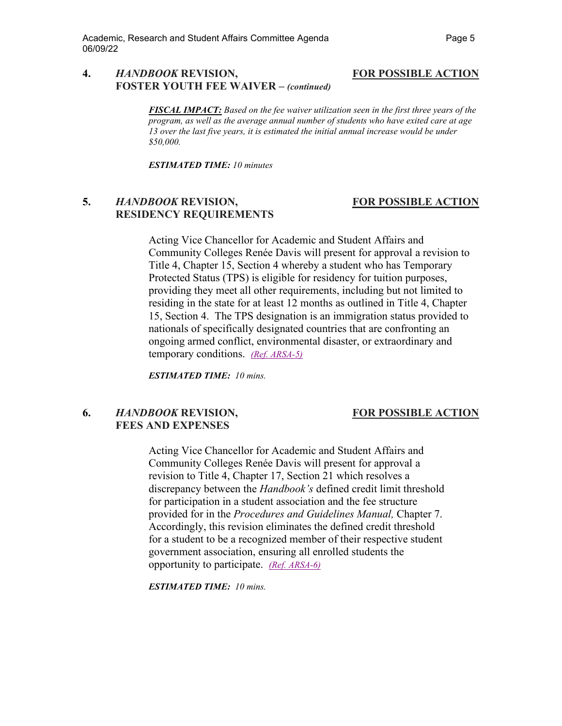### **4.** *HANDBOOK* **REVISION, FOR POSSIBLE ACTION FOSTER YOUTH FEE WAIVER –** *(continued)*

*FISCAL IMPACT: Based on the fee waiver utilization seen in the first three years of the program, as well as the average annual number of students who have exited care at age 13 over the last five years, it is estimated the initial annual increase would be under \$50,000.*

*ESTIMATED TIME: 10 minutes*

## **5.** *HANDBOOK* **REVISION, FOR POSSIBLE ACTION RESIDENCY REQUIREMENTS**

Acting Vice Chancellor for Academic and Student Affairs and Community Colleges Renée Davis will present for approval a revision to Title 4, Chapter 15, Section 4 whereby a student who has Temporary Protected Status (TPS) is eligible for residency for tuition purposes, providing they meet all other requirements, including but not limited to residing in the state for at least 12 months as outlined in Title 4, Chapter 15, Section 4. The TPS designation is an immigration status provided to nationals of specifically designated countries that are confronting an ongoing armed conflict, environmental disaster, or extraordinary and temporary conditions. *[\(Ref. ARSA-5\)](https://nshe.nevada.edu/wp-content/uploads/file/BoardOfRegents/Agendas/2022/06-jun-mtgs/arsa-refs/ARSA-5.pdf)*

*ESTIMATED TIME: 10 mins.*

### **6.** *HANDBOOK* **REVISION, FOR POSSIBLE ACTION FEES AND EXPENSES**

Acting Vice Chancellor for Academic and Student Affairs and Community Colleges Renée Davis will present for approval a revision to Title 4, Chapter 17, Section 21 which resolves a discrepancy between the *Handbook's* defined credit limit threshold for participation in a student association and the fee structure provided for in the *Procedures and Guidelines Manual,* Chapter 7. Accordingly, this revision eliminates the defined credit threshold for a student to be a recognized member of their respective student government association, ensuring all enrolled students the opportunity to participate. *[\(Ref. ARSA-6\)](https://nshe.nevada.edu/wp-content/uploads/file/BoardOfRegents/Agendas/2022/06-jun-mtgs/arsa-refs/ARSA-6.pdf)*

*ESTIMATED TIME: 10 mins.*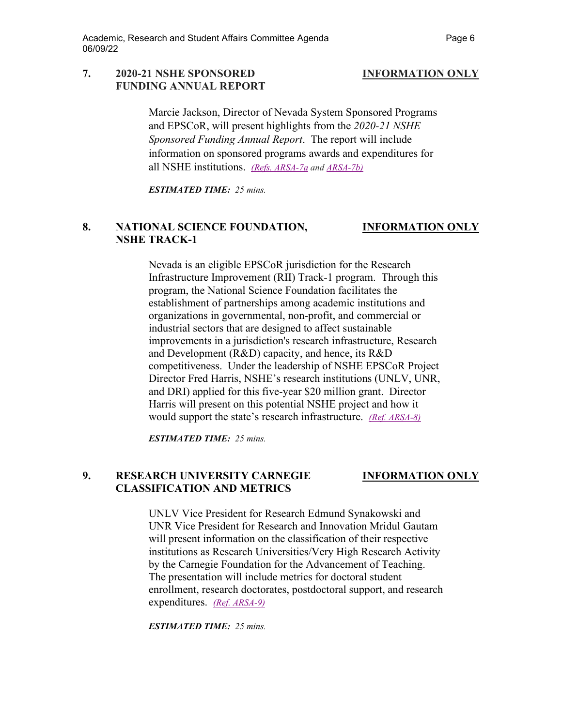### **7. 2020-21 NSHE SPONSORED INFORMATION ONLY FUNDING ANNUAL REPORT**

Marcie Jackson, Director of Nevada System Sponsored Programs and EPSCoR, will present highlights from the *2020-21 NSHE Sponsored Funding Annual Report*. The report will include information on sponsored programs awards and expenditures for all NSHE institutions. *[\(Refs. ARSA-7a](https://nshe.nevada.edu/wp-content/uploads/file/BoardOfRegents/Agendas/2022/06-jun-mtgs/arsa-refs/ARSA-7a.pdf) and [ARSA-7b\)](https://nshe.nevada.edu/wp-content/uploads/file/BoardOfRegents/Agendas/2022/06-jun-mtgs/arsa-refs/ARSA-7b.pdf)*

*ESTIMATED TIME: 25 mins.*

## **8. NATIONAL SCIENCE FOUNDATION, INFORMATION ONLY NSHE TRACK-1**

Nevada is an eligible EPSCoR jurisdiction for the Research Infrastructure Improvement (RII) Track-1 program. Through this program, the National Science Foundation facilitates the establishment of partnerships among academic institutions and organizations in governmental, non-profit, and commercial or industrial sectors that are designed to affect sustainable improvements in a jurisdiction's research infrastructure, Research and Development (R&D) capacity, and hence, its R&D competitiveness. Under the leadership of NSHE EPSCoR Project Director Fred Harris, NSHE's research institutions (UNLV, UNR, and DRI) applied for this five-year \$20 million grant. Director Harris will present on this potential NSHE project and how it would support the state's research infrastructure. *[\(Ref. ARSA-8\)](https://nshe.nevada.edu/wp-content/uploads/file/BoardOfRegents/Agendas/2022/06-jun-mtgs/arsa-refs/ARSA-8.pdf)*

*ESTIMATED TIME: 25 mins.*

# **9. RESEARCH UNIVERSITY CARNEGIE INFORMATION ONLY CLASSIFICATION AND METRICS**

UNLV Vice President for Research Edmund Synakowski and UNR Vice President for Research and Innovation Mridul Gautam will present information on the classification of their respective institutions as Research Universities/Very High Research Activity by the Carnegie Foundation for the Advancement of Teaching. The presentation will include metrics for doctoral student enrollment, research doctorates, postdoctoral support, and research expenditures. *[\(Ref. ARSA-9\)](https://nshe.nevada.edu/wp-content/uploads/file/BoardOfRegents/Agendas/2022/06-jun-mtgs/arsa-refs/ARSA-9.pdf)*

*ESTIMATED TIME: 25 mins.*